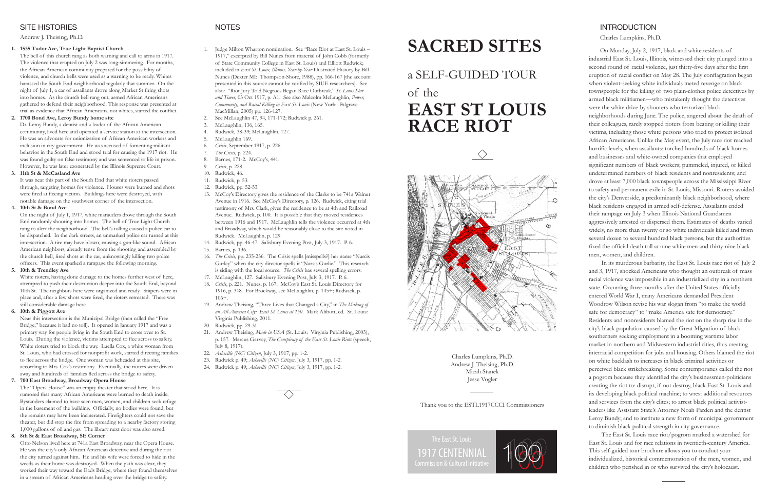Charles Lumpkins, Ph.D.

On Monday, July 2, 1917, black and white residents of industrial East St. Louis, Illinois, witnessed their city plunged into a second round of racial violence, just thirty-five days after the first eruption of racial conflict on May 28. The July conflagration began when violent-seeking white individuals meted revenge on black townspeople for the killing of two plain-clothes police detectives by armed black militiamen—who mistakenly thought the detectives were the white drive-by shooters who terrorized black neighborhoods during June. The police, angered about the death of their colleagues, rarely stopped rioters from beating or killing their victims, including those white persons who tried to protect isolated African Americans. Unlike the May event, the July race riot reached horrific levels, when assailants: torched hundreds of black homes and businesses and white-owned companies that employed significant numbers of black workers; pummeled, injured, or killed undetermined numbers of black residents and nonresidents; and drove at least 7,000 black townspeople across the Mississippi River to safety and permanent exile in St. Louis, Missouri. Rioters avoided the city's Denverside, a predominantly black neighborhood, where black residents engaged in armed self-defense. Assailants ended their rampage on July 3 when Illinois National Guardsmen aggressively arrested or dispersed them. Estimates of deaths varied widely, no more than twenty or so white individuals killed and from several dozen to several hundred black persons, but the authorities fixed the official death toll at nine white men and thirty-nine black men, women, and children.

In its murderous barbarity, the East St. Louis race riot of July 2 and 3, 1917, shocked Americans who thought an outbreak of mass racial violence was impossible in an industrialized city in a northern state. Occurring three months after the United States officially entered World War I, many Americans demanded President Woodrow Wilson revise his war slogan from "to make the world safe for democracy" to "make America safe for democracy." Residents and nonresidents blamed the riot on the sharp rise in the city's black population caused by the Great Migration of black southerners seeking employment in a booming wartime labor market in northern and Midwestern industrial cities, thus creating interracial competition for jobs and housing. Others blamed the riot on white backlash to increases in black criminal activities or perceived black strikebreaking. Some contemporaries called the riot a pogrom because they identified the city's businessmen-politicians creating the riot to: disrupt, if not destroy, black East St. Louis and its developing black political machine; to wrest additional resources and services from the city's elites; to arrest black political activistleaders like Assistant State's Attorney Noah Parden and the dentist Leroy Bundy; and to institute a new form of municipal government to diminish black political strength in city governance.

The East St. Louis race riot/pogrom marked a watershed for East St. Louis and for race relations in twentieth-century America. This self-guided tour brochure allows you to conduct your individualized, historical commemoration of the men, women, and children who perished in or who survived the city's holocaust.

### SITE HISTORIES

### Andrew J. Theising, Ph.D.

### **1. 1535 Tudor Ave, True Light Baptist Church**

The bell of this church rang as both warning and call to arms in 1917. The violence that erupted on July 2 was long-simmering. For months, the African American community prepared for the possibility of violence, and church bells were used as a warning to be ready. Whites harassed the South End neighborhood regularly that summer. On the night of July 1, a car of assailants drove along Market St firing shots into homes. As the church bell rang out, armed African Americans gathered to defend their neighborhood. This response was presented at trial as evidence that African Americans, not whites, started the conflict.

### **2. 1700 Bond Ave, Leroy Bundy home site**

Dr. Leroy Bundy, a dentist and a leader of the African American community, lived here and operated a service station at the intersection. He was an advocate for unionization of African American workers and inclusion in city government. He was accused of fomenting militant behavior in the South End and stood trial for causing the 1917 riot. He was found guilty on false testimony and was sentenced to life in prison. However, he was later exonerated by the Illinois Supreme Court.

### **3. 11th St & McCasland Ave**

It was near this part of the South End that white rioters passed through, targeting homes for violence. Houses were burned and shots were fired at fleeing victims. Buildings here were destroyed, with notable damage on the southwest corner of the intersection.

### **4. 10th St & Bond Ave**

On the night of July 1, 1917, white marauders drove through the South End randomly shooting into homes. The bell of True Light Church rang to alert the neighborhood. The bell's tolling caused a police car to be dispatched. In the dark streets, an unmarked police car turned at this intersection. A tire may have blown, causing a gun-like sound. African American neighbors, already tense from the shooting and assembled by the church bell, fired shots at the car, unknowingly killing two police officers. This event sparked a rampage the following morning.

### **5. 10th & Trendley Ave**

White rioters, having done damage to the homes further west of here, attempted to push their destruction deeper into the South End, beyond 10th St. The neighbors here were organized and ready. Snipers were in place and, after a few shots were fired, the rioters retreated. There was still considerable damage here.

### **6. 10th & Piggott Ave**

Near this intersection is the Municipal Bridge (then called the "Free Bridge," because it had no toll). It opened in January 1917 and was a primary way for people living in the South End to cross over to St. Louis. During the violence, victims attempted to flee across to safety. White rioters tried to block the way. Luella Cox, a white woman from St. Louis, who had crossed for nonprofit work, started directing families to flee across the bridge. One woman was beheaded at this site, according to Mrs. Cox's testimony. Eventually, the rioters were driven away and hundreds of families fled across the bridge to safety.

### **7. 700 East Broadway, Broadway Opera House**

The "Opera House" was an empty theater that stood here. It is rumored that many African Americans were burned to death inside. Bystanders claimed to have seen men, women, and children seek refuge in the basement of the building. Officially, no bodies were found, but the remains may have been incinerated. Firefighters could not save the theater, but did stop the fire from spreading to a nearby factory storing 1,000 gallons of oil and gas. The library next door was also saved.

### **8. 8th St & East Broadway, SE Corner**

Otto Nelson lived here at 741a East Broadway, near the Opera House. He was the city's only African American detective and during the riot the city turned against him. He and his wife were forced to hide in the weeds as their home was destroyed. When the path was clear, they worked their way toward the Eads Bridge, where they found themselves in a stream of African Americans heading over the bridge to safety.

### NOTES

- 1. Judge Milton Wharton nomination. See "Race Riot at East St. Louis 1917," excerpted by Bill Nunes from material of John Cobb (formerly of State Community College in East St. Louis) and Elliott Rudwick; included in *East St. Louis, Illinois, Year-by-Year* Illustrated History by Bill Nunes (Dexter MI: Thompson-Shore, 1988), pp. 166-167 [the account presented in this source cannot be verified by SIUE researchers]. See also: "Riot Jury Told Negroes Began Race Outbreak," *St. Louis Star and Times*, 03 Oct 1917, p. A1. See also Malcolm McLaughlin, *Power, Community, and Racial Killing in East St. Louis* (New York: Palgrave MacMillan, 2005) pp. 126-127.
- 2. See McLaughlin 47, 94, 171-172; Rudwick p. 261.
- McLaughlin, 136, 165.
- 4. Rudwick, 38-39; McLaughlin, 127.
- McLaughlin 169.
- 6. *Crisis*, September 1917, p. 226
- 7. *The Crisis*, p. 224.
- Barnes, 171-2. McCoy's, 441.
- 9. *Crisis*, p. 228
- 10. Rudwick, 46.
- 11. Rudwick, p. 53.
- 12. Rudwick, pp. 52-53.
- 13. McCoy's Directory gives the residence of the Clarks to be 741a Walnut Avenue in 1916. See McCoy's Directory, p. 126. Rudwick, citing trial testimony of Mrs. Clark, gives the residence to be at 4th and Railroad Avenue. Rudwick, p. 100. It is possible that they moved residences between 1916 and 1917. McLaughlin tells the violence occurred at 4th and Broadway, which would be reasonably close to the site noted in Rudwick. McLaughlin, p. 129.
- 14. Rudwick, pp. 46-47. Salisbury Evening Post, July 3, 1917. P. 6.
- 15. Barnes, p. 136.
- 16. *The Crisis*, pp. 235-236. The Crisis spells [misspells?] her name "Narcis Gurley" when the city director spells it "Narsis Gurlie." This research is siding with the local source. *The Crisis* has several spelling errors.
- 17. McLaughlin, 127. Salisbury Evening Post, July 3, 1917. P. 6.
- 18. *Crisis*, p. 221. Nunes, p. 167. McCoy's East St. Louis Directory for 1916, p. 348. For Brockway, see McLaughlin, p. 145+; Rudwick, p. 106+.
- 19. Andrew Theising, "Three Lives that Changed a City," in *The Making of an All-America City: East St. Louis at 150*. Mark Abbott, ed. St. Louis: Virginia Publishing, 2011.
- 20. Rudwick, pp. 29-31.
- 21. Andrew Theising, *Made in USA* (St. Louis: Virginia Publishing, 2003), p. 157. Marcus Garvey, *The Conspiracy of the East St. Louis Riots* (speech, July 8, 1917).
- 22. *Asheville [NC] Citizen*, July 3, 1917, pp. 1-2.
- 23. Rudwick p. 49; *Asheville [NC] Citizen*, July 3, 1917, pp. 1-2.
- 24. Rudwick p. 49; *Asheville [NC] Citizen*, July 3, 1917, pp. 1-2.

# **SACRED SITES**

## a SELF-GUIDED TOUR

# of the **EAST ST LOUIS RACE RIOT**





Charles Lumpkins, Ph.D. Andrew J. Theising, Ph.D. Micah Stanek Jesse Vogler

Thank you to the ESTL1917CCCI Commissioners



### **INTRODUCTION**

The East St. Louis 1917 CENTENNIAL Commission & Cultural Initiative 100 100 100